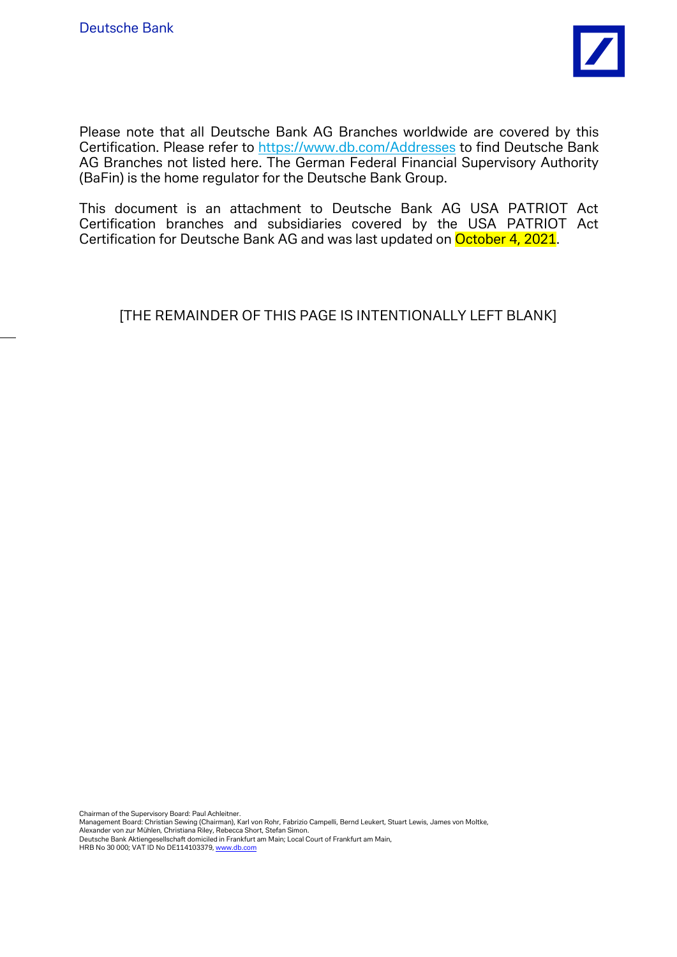

Please note that all Deutsche Bank AG Branches worldwide are covered by this Certification. Please refer to<https://www.db.com/Addresses> to find Deutsche Bank AG Branches not listed here. The German Federal Financial Supervisory Authority (BaFin) is the home regulator for the Deutsche Bank Group.

This document is an attachment to Deutsche Bank AG USA PATRIOT Act Certification branches and subsidiaries covered by the USA PATRIOT Act Certification for Deutsche Bank AG and was last updated on October 4, 2021.

[THE REMAINDER OF THIS PAGE IS INTENTIONALLY LEFT BLANK]

Chairman of the Supervisory Board: Paul Achleitner. Management Board: Christian Sewing (Chairman), Karl von Rohr, Fabrizio Campelli, Bernd Leukert, Stuart Lewis, James von Moltke, Alexander von zur Mühlen, Christiana Riley, Rebecca Short, Stefan Simon. Deutsche Bank Aktiengesellschaft domiciled in Frankfurt am Main; Local Court of Frankfurt am Main, HRB No 30 000; VAT ID No DE114103379[, www.db.com](http://www.db.com/)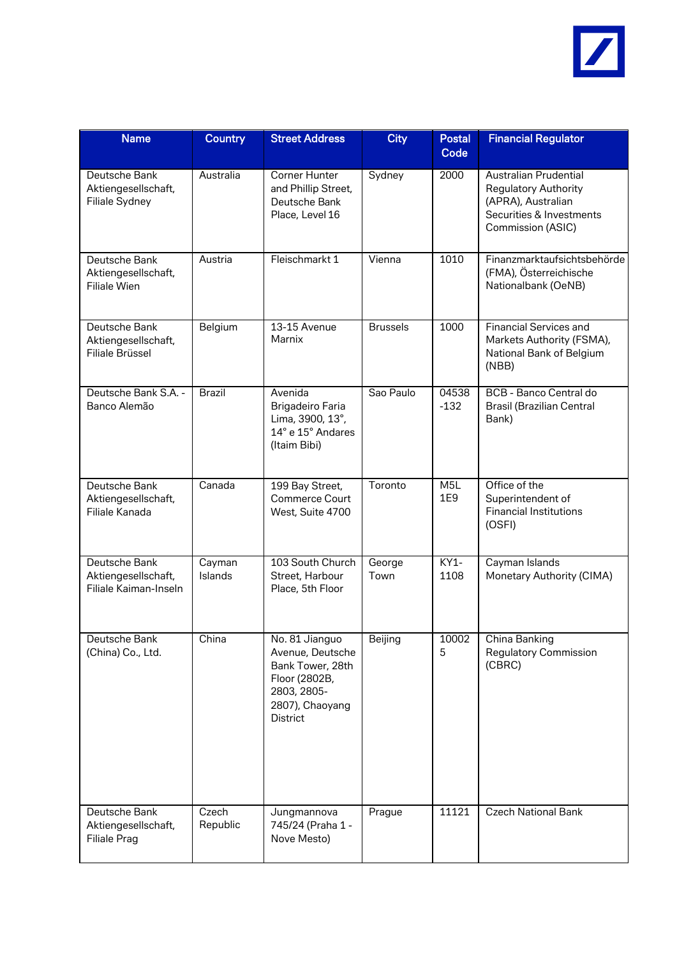

| <b>Name</b>                                                   | <b>Country</b>    | <b>Street Address</b>                                                                                                 | <b>City</b>     | <b>Postal</b><br>Code   | <b>Financial Regulator</b>                                                                                                         |
|---------------------------------------------------------------|-------------------|-----------------------------------------------------------------------------------------------------------------------|-----------------|-------------------------|------------------------------------------------------------------------------------------------------------------------------------|
| Deutsche Bank<br>Aktiengesellschaft,<br><b>Filiale Sydney</b> | Australia         | Corner Hunter<br>and Phillip Street,<br>Deutsche Bank<br>Place, Level 16                                              | Sydney          | 2000                    | <b>Australian Prudential</b><br><b>Regulatory Authority</b><br>(APRA), Australian<br>Securities & Investments<br>Commission (ASIC) |
| Deutsche Bank<br>Aktiengesellschaft,<br><b>Filiale Wien</b>   | Austria           | Fleischmarkt 1                                                                                                        | Vienna          | 1010                    | Finanzmarktaufsichtsbehörde<br>(FMA), Österreichische<br>Nationalbank (OeNB)                                                       |
| Deutsche Bank<br>Aktiengesellschaft,<br>Filiale Brüssel       | Belgium           | 13-15 Avenue<br>Marnix                                                                                                | <b>Brussels</b> | 1000                    | <b>Financial Services and</b><br>Markets Authority (FSMA),<br>National Bank of Belgium<br>(NBB)                                    |
| Deutsche Bank S.A. -<br>Banco Alemão                          | <b>Brazil</b>     | Avenida<br><b>Brigadeiro Faria</b><br>Lima, 3900, 13°,<br>14° e 15° Andares<br>(Itaim Bibi)                           | Sao Paulo       | 04538<br>$-132$         | <b>BCB</b> - Banco Central do<br><b>Brasil (Brazilian Central</b><br>Bank)                                                         |
| Deutsche Bank<br>Aktiengesellschaft,<br>Filiale Kanada        | Canada            | 199 Bay Street,<br>Commerce Court<br>West, Suite 4700                                                                 | Toronto         | M <sub>5</sub> L<br>1E9 | Office of the<br>Superintendent of<br><b>Financial Institutions</b><br>(OSFI)                                                      |
| Deutsche Bank<br>Aktiengesellschaft,<br>Filiale Kaiman-Inseln | Cayman<br>Islands | 103 South Church<br>Street, Harbour<br>Place, 5th Floor                                                               | George<br>Town  | $KY1-$<br>1108          | Cayman Islands<br>Monetary Authority (CIMA)                                                                                        |
| Deutsche Bank<br>(China) Co., Ltd.                            | China             | No. 81 Jianguo<br>Avenue, Deutsche<br>Bank Tower, 28th<br>Floor (2802B,<br>2803, 2805-<br>2807), Chaoyang<br>District | Beijing         | 10002<br>5              | China Banking<br><b>Regulatory Commission</b><br>(CBRC)                                                                            |
| Deutsche Bank<br>Aktiengesellschaft,<br><b>Filiale Prag</b>   | Czech<br>Republic | Jungmannova<br>745/24 (Praha 1 -<br>Nove Mesto)                                                                       | Prague          | 11121                   | <b>Czech National Bank</b>                                                                                                         |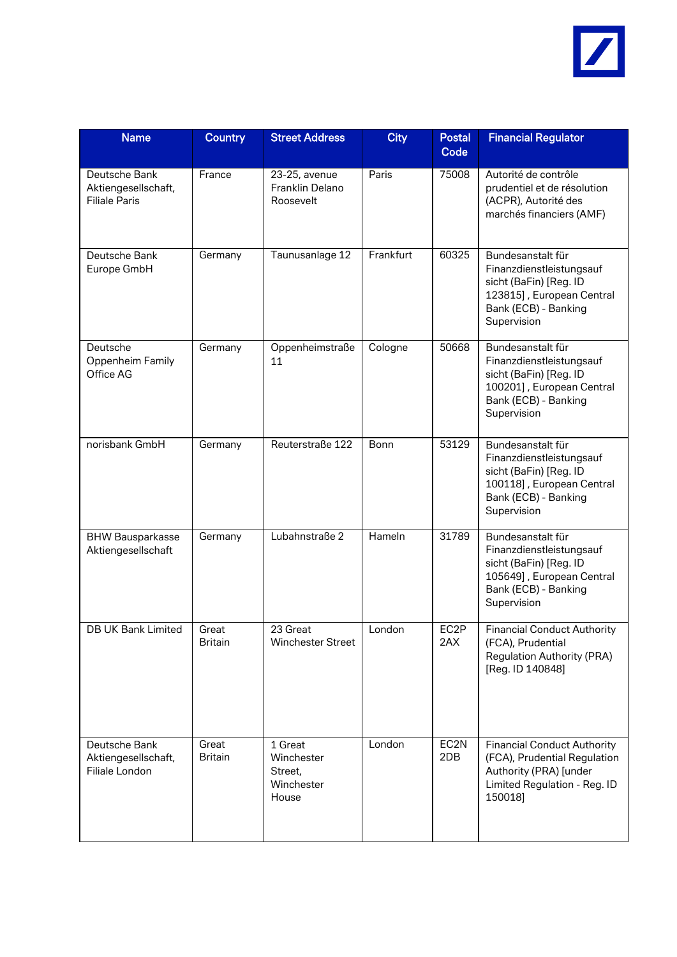

| <b>Name</b>                                                  | <b>Country</b>          | <b>Street Address</b>                                   | <b>City</b> | <b>Postal</b><br>Code | <b>Financial Regulator</b>                                                                                                                  |
|--------------------------------------------------------------|-------------------------|---------------------------------------------------------|-------------|-----------------------|---------------------------------------------------------------------------------------------------------------------------------------------|
| Deutsche Bank<br>Aktiengesellschaft,<br><b>Filiale Paris</b> | France                  | 23-25, avenue<br>Franklin Delano<br>Roosevelt           | Paris       | 75008                 | Autorité de contrôle<br>prudentiel et de résolution<br>(ACPR), Autorité des<br>marchés financiers (AMF)                                     |
| Deutsche Bank<br>Europe GmbH                                 | Germany                 | Taunusanlage 12                                         | Frankfurt   | 60325                 | Bundesanstalt für<br>Finanzdienstleistungsauf<br>sicht (BaFin) [Reg. ID<br>123815], European Central<br>Bank (ECB) - Banking<br>Supervision |
| Deutsche<br>Oppenheim Family<br>Office AG                    | Germany                 | Oppenheimstraße<br>11                                   | Cologne     | 50668                 | Bundesanstalt für<br>Finanzdienstleistungsauf<br>sicht (BaFin) [Reg. ID<br>100201], European Central<br>Bank (ECB) - Banking<br>Supervision |
| norisbank GmbH                                               | Germany                 | Reuterstraße 122                                        | Bonn        | 53129                 | Bundesanstalt für<br>Finanzdienstleistungsauf<br>sicht (BaFin) [Reg. ID<br>100118], European Central<br>Bank (ECB) - Banking<br>Supervision |
| <b>BHW Bausparkasse</b><br>Aktiengesellschaft                | Germany                 | Lubahnstraße 2                                          | Hameln      | 31789                 | Bundesanstalt für<br>Finanzdienstleistungsauf<br>sicht (BaFin) [Reg. ID<br>105649], European Central<br>Bank (ECB) - Banking<br>Supervision |
| <b>DB UK Bank Limited</b>                                    | Great<br><b>Britain</b> | 23 Great<br>Winchester Street                           | London      | EC2P<br>2AX           | <b>Financial Conduct Authority</b><br>(FCA), Prudential<br><b>Regulation Authority (PRA)</b><br>[Reg. ID 140848]                            |
| Deutsche Bank<br>Aktiengesellschaft,<br>Filiale London       | Great<br><b>Britain</b> | 1 Great<br>Winchester<br>Street,<br>Winchester<br>House | London      | EC2N<br>2DB           | <b>Financial Conduct Authority</b><br>(FCA), Prudential Regulation<br>Authority (PRA) [under<br>Limited Regulation - Reg. ID<br>150018]     |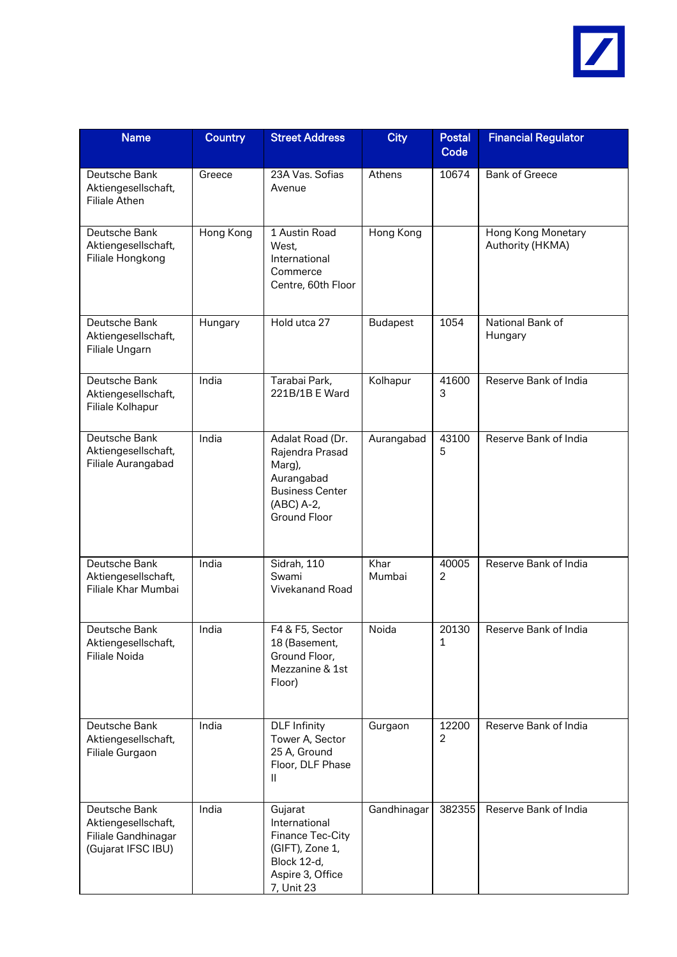

| <b>Name</b>                                                                       | <b>Country</b> | <b>Street Address</b>                                                                                               | <b>City</b>     | <b>Postal</b><br>Code   | <b>Financial Regulator</b>             |
|-----------------------------------------------------------------------------------|----------------|---------------------------------------------------------------------------------------------------------------------|-----------------|-------------------------|----------------------------------------|
| Deutsche Bank<br>Aktiengesellschaft,<br><b>Filiale Athen</b>                      | Greece         | 23A Vas. Sofias<br>Avenue                                                                                           | Athens          | 10674                   | <b>Bank of Greece</b>                  |
| Deutsche Bank<br>Aktiengesellschaft,<br>Filiale Hongkong                          | Hong Kong      | 1 Austin Road<br>West,<br>International<br>Commerce<br>Centre, 60th Floor                                           | Hong Kong       |                         | Hong Kong Monetary<br>Authority (HKMA) |
| Deutsche Bank<br>Aktiengesellschaft,<br>Filiale Ungarn                            | Hungary        | Hold utca 27                                                                                                        | <b>Budapest</b> | 1054                    | National Bank of<br>Hungary            |
| Deutsche Bank<br>Aktiengesellschaft,<br>Filiale Kolhapur                          | India          | Tarabai Park,<br>221B/1B E Ward                                                                                     | Kolhapur        | 41600<br>3              | Reserve Bank of India                  |
| Deutsche Bank<br>Aktiengesellschaft,<br>Filiale Aurangabad                        | India          | Adalat Road (Dr.<br>Rajendra Prasad<br>Marg),<br>Aurangabad<br><b>Business Center</b><br>(ABC) A-2,<br>Ground Floor | Aurangabad      | 43100<br>5              | Reserve Bank of India                  |
| Deutsche Bank<br>Aktiengesellschaft,<br>Filiale Khar Mumbai                       | India          | Sidrah, 110<br>Swami<br>Vivekanand Road                                                                             | Khar<br>Mumbai  | 40005<br>$\overline{2}$ | Reserve Bank of India                  |
| Deutsche Bank<br>Aktiengesellschaft,<br>Filiale Noida                             | India          | F4 & F5, Sector<br>18 (Basement,<br>Ground Floor,<br>Mezzanine & 1st<br>Floor)                                      | Noida           | 20130<br>1              | Reserve Bank of India                  |
| Deutsche Bank<br>Aktiengesellschaft,<br>Filiale Gurgaon                           | India          | <b>DLF Infinity</b><br>Tower A, Sector<br>25 A, Ground<br>Floor, DLF Phase<br>Ш                                     | Gurgaon         | 12200<br>2              | Reserve Bank of India                  |
| Deutsche Bank<br>Aktiengesellschaft,<br>Filiale Gandhinagar<br>(Gujarat IFSC IBU) | India          | Gujarat<br>International<br>Finance Tec-City<br>(GIFT), Zone 1,<br>Block 12-d,<br>Aspire 3, Office<br>7, Unit 23    | Gandhinagar     | 382355                  | Reserve Bank of India                  |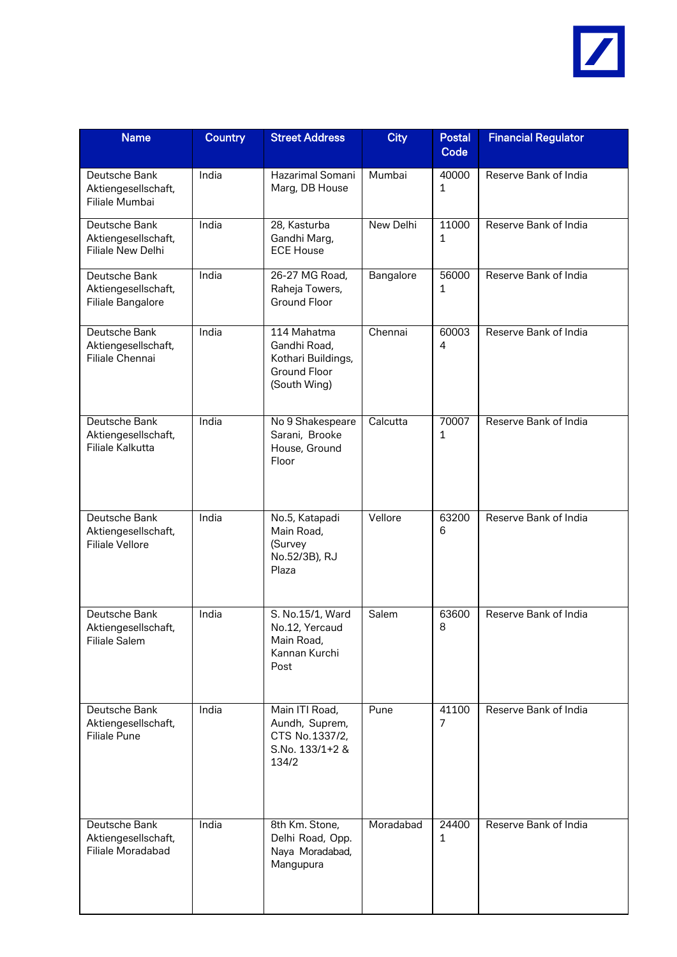

| <b>Name</b>                                                    | Country | <b>Street Address</b>                                                                    | <b>City</b>      | <b>Postal</b><br>Code | <b>Financial Regulator</b> |
|----------------------------------------------------------------|---------|------------------------------------------------------------------------------------------|------------------|-----------------------|----------------------------|
| Deutsche Bank<br>Aktiengesellschaft,<br>Filiale Mumbai         | India   | Hazarimal Somani<br>Marg, DB House                                                       | Mumbai           | 40000<br>1            | Reserve Bank of India      |
| Deutsche Bank<br>Aktiengesellschaft,<br>Filiale New Delhi      | India   | 28, Kasturba<br>Gandhi Marg,<br><b>ECE House</b>                                         | <b>New Delhi</b> | 11000<br>1            | Reserve Bank of India      |
| Deutsche Bank<br>Aktiengesellschaft,<br>Filiale Bangalore      | India   | 26-27 MG Road,<br>Raheja Towers,<br><b>Ground Floor</b>                                  | Bangalore        | 56000<br>1            | Reserve Bank of India      |
| Deutsche Bank<br>Aktiengesellschaft,<br>Filiale Chennai        | India   | 114 Mahatma<br>Gandhi Road,<br>Kothari Buildings,<br><b>Ground Floor</b><br>(South Wing) | Chennai          | 60003<br>4            | Reserve Bank of India      |
| Deutsche Bank<br>Aktiengesellschaft,<br>Filiale Kalkutta       | India   | No 9 Shakespeare<br>Sarani, Brooke<br>House, Ground<br>Floor                             | Calcutta         | 70007<br>1            | Reserve Bank of India      |
| Deutsche Bank<br>Aktiengesellschaft,<br><b>Filiale Vellore</b> | India   | No.5, Katapadi<br>Main Road,<br>(Survey<br>No.52/3B), RJ<br>Plaza                        | Vellore          | 63200<br>6            | Reserve Bank of India      |
| Deutsche Bank<br>Aktiengesellschaft,<br><b>Filiale Salem</b>   | India   | S. No.15/1, Ward<br>No.12, Yercaud<br>Main Road,<br>Kannan Kurchi<br>Post                | Salem            | 63600<br>8            | Reserve Bank of India      |
| Deutsche Bank<br>Aktiengesellschaft,<br><b>Filiale Pune</b>    | India   | Main ITI Road,<br>Aundh, Suprem,<br>CTS No.1337/2,<br>S.No. 133/1+2 &<br>134/2           | Pune             | 41100<br>7            | Reserve Bank of India      |
| Deutsche Bank<br>Aktiengesellschaft,<br>Filiale Moradabad      | India   | 8th Km. Stone,<br>Delhi Road, Opp.<br>Naya Moradabad,<br>Mangupura                       | Moradabad        | 24400<br>1            | Reserve Bank of India      |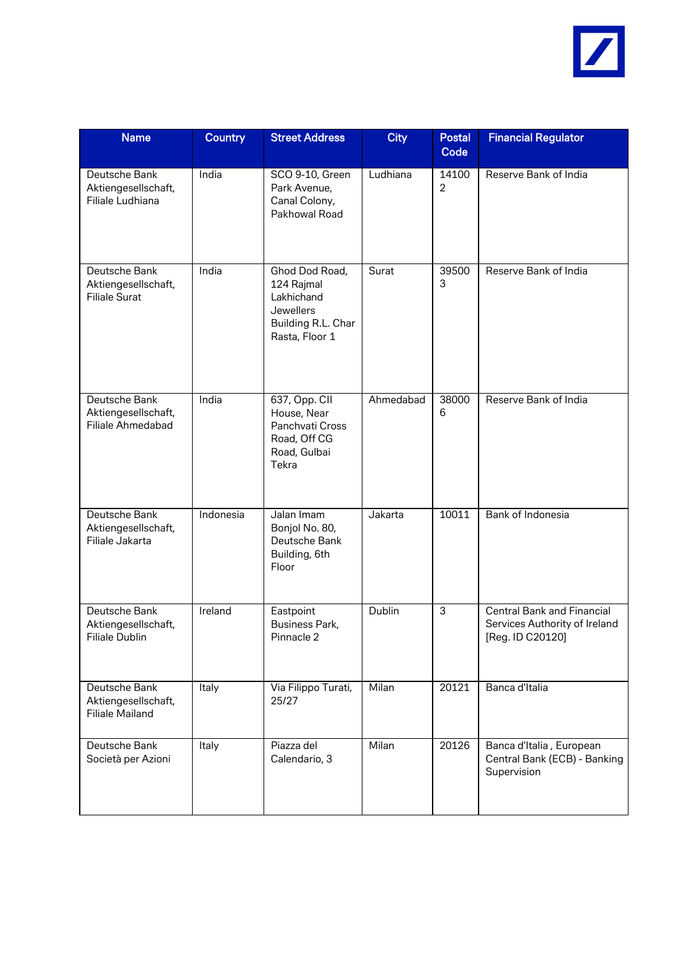

| <b>Name</b>                                                    | Country   | <b>Street Address</b>                                                                           | <b>City</b> | <b>Postal</b><br>Code   | <b>Financial Regulator</b>                                                             |
|----------------------------------------------------------------|-----------|-------------------------------------------------------------------------------------------------|-------------|-------------------------|----------------------------------------------------------------------------------------|
| Deutsche Bank<br>Aktiengesellschaft,<br>Filiale Ludhiana       | India     | SCO 9-10, Green<br>Park Avenue,<br>Canal Colony,<br>Pakhowal Road                               | Ludhiana    | 14100<br>$\overline{2}$ | Reserve Bank of India                                                                  |
| Deutsche Bank<br>Aktiengesellschaft,<br><b>Filiale Surat</b>   | India     | Ghod Dod Road,<br>124 Rajmal<br>Lakhichand<br>Jewellers<br>Building R.L. Char<br>Rasta, Floor 1 | Surat       | 39500<br>3              | Reserve Bank of India                                                                  |
| Deutsche Bank<br>Aktiengesellschaft,<br>Filiale Ahmedabad      | India     | 637, Opp. CII<br>House, Near<br>Panchvati Cross<br>Road, Off CG<br>Road, Gulbai<br>Tekra        | Ahmedabad   | 38000<br>6              | Reserve Bank of India                                                                  |
| Deutsche Bank<br>Aktiengesellschaft,<br>Filiale Jakarta        | Indonesia | Jalan Imam<br>Bonjol No. 80,<br>Deutsche Bank<br>Building, 6th<br>Floor                         | Jakarta     | 10011                   | Bank of Indonesia                                                                      |
| Deutsche Bank<br>Aktiengesellschaft,<br>Filiale Dublin         | Ireland   | Eastpoint<br><b>Business Park,</b><br>Pinnacle 2                                                | Dublin      | 3                       | <b>Central Bank and Financial</b><br>Services Authority of Ireland<br>[Reg. ID C20120] |
| Deutsche Bank<br>Aktiengesellschaft,<br><b>Filiale Mailand</b> | Italy     | Via Filippo Turati,<br>25/27                                                                    | Milan       | 20121                   | Banca d'Italia                                                                         |
| Deutsche Bank<br>Società per Azioni                            | Italy     | Piazza del<br>Calendario, 3                                                                     | Milan       | 20126                   | Banca d'Italia, European<br>Central Bank (ECB) - Banking<br>Supervision                |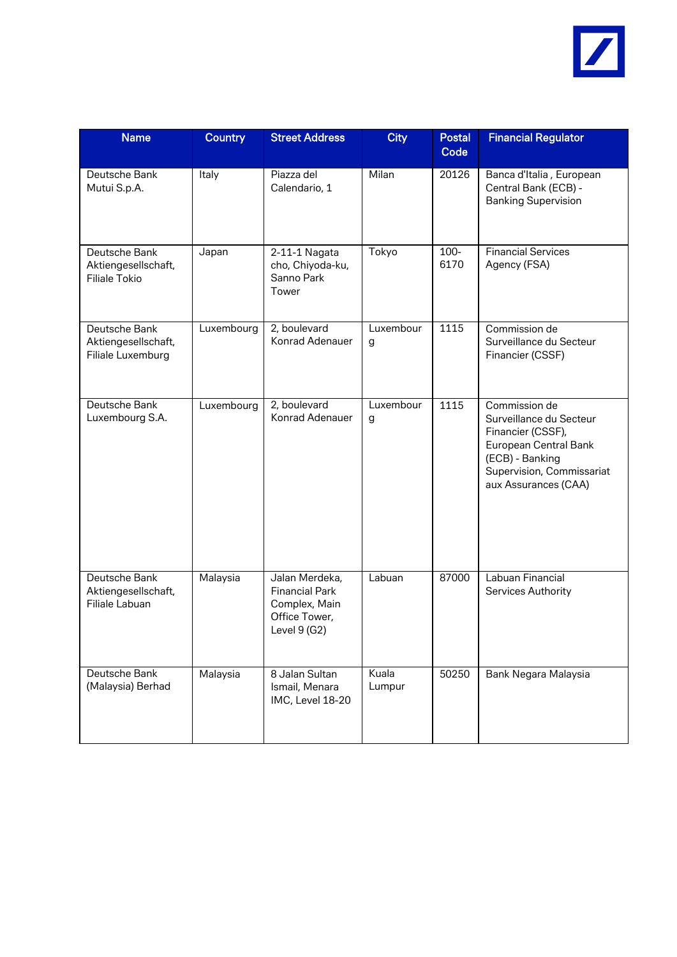

| <b>Name</b>                                                  | <b>Country</b> | <b>Street Address</b>                                                                     | <b>City</b>     | <b>Postal</b><br>Code | <b>Financial Regulator</b>                                                                                                                                     |
|--------------------------------------------------------------|----------------|-------------------------------------------------------------------------------------------|-----------------|-----------------------|----------------------------------------------------------------------------------------------------------------------------------------------------------------|
| Deutsche Bank<br>Mutui S.p.A.                                | Italy          | Piazza del<br>Calendario, 1                                                               | Milan           | 20126                 | Banca d'Italia, European<br>Central Bank (ECB) -<br><b>Banking Supervision</b>                                                                                 |
| Deutsche Bank<br>Aktiengesellschaft,<br><b>Filiale Tokio</b> | Japan          | 2-11-1 Nagata<br>cho, Chiyoda-ku,<br>Sanno Park<br>Tower                                  | Tokyo           | $100-$<br>6170        | <b>Financial Services</b><br>Agency (FSA)                                                                                                                      |
| Deutsche Bank<br>Aktiengesellschaft,<br>Filiale Luxemburg    | Luxembourg     | 2, boulevard<br>Konrad Adenauer                                                           | Luxembour<br>g  | 1115                  | Commission de<br>Surveillance du Secteur<br>Financier (CSSF)                                                                                                   |
| Deutsche Bank<br>Luxembourg S.A.                             | Luxembourg     | 2, boulevard<br>Konrad Adenauer                                                           | Luxembour<br>g  | 1115                  | Commission de<br>Surveillance du Secteur<br>Financier (CSSF),<br>European Central Bank<br>(ECB) - Banking<br>Supervision, Commissariat<br>aux Assurances (CAA) |
| Deutsche Bank<br>Aktiengesellschaft,<br>Filiale Labuan       | Malaysia       | Jalan Merdeka,<br><b>Financial Park</b><br>Complex, Main<br>Office Tower,<br>Level 9 (G2) | Labuan          | 87000                 | Labuan Financial<br>Services Authority                                                                                                                         |
| Deutsche Bank<br>(Malaysia) Berhad                           | Malaysia       | 8 Jalan Sultan<br>Ismail, Menara<br>IMC, Level 18-20                                      | Kuala<br>Lumpur | 50250                 | Bank Negara Malaysia                                                                                                                                           |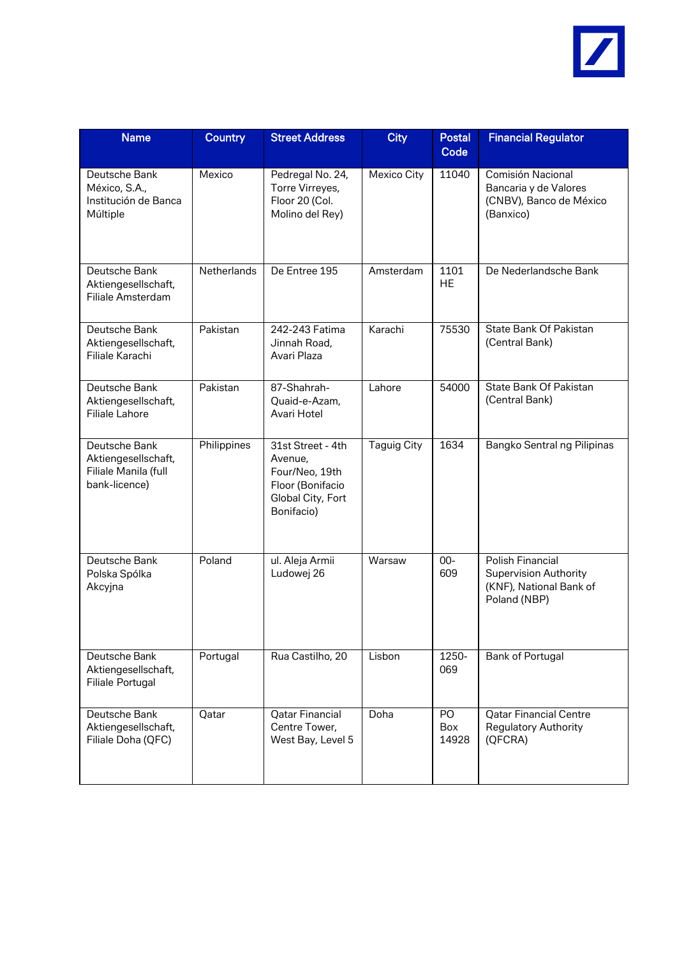

| <b>Name</b>                                                                   | <b>Country</b> | <b>Street Address</b>                                                                                 | <b>City</b>        | <b>Postal</b><br>Code     | <b>Financial Regulator</b>                                                                  |
|-------------------------------------------------------------------------------|----------------|-------------------------------------------------------------------------------------------------------|--------------------|---------------------------|---------------------------------------------------------------------------------------------|
| Deutsche Bank<br>México, S.A.,<br>Institución de Banca<br>Múltiple            | Mexico         | Pedregal No. 24,<br>Torre Virreyes,<br>Floor 20 (Col.<br>Molino del Rey)                              | Mexico City        | 11040                     | Comisión Nacional<br>Bancaria y de Valores<br>(CNBV), Banco de México<br>(Banxico)          |
| Deutsche Bank<br>Aktiengesellschaft,<br>Filiale Amsterdam                     | Netherlands    | De Entree 195                                                                                         | Amsterdam          | 1101<br><b>HE</b>         | De Nederlandsche Bank                                                                       |
| Deutsche Bank<br>Aktiengesellschaft,<br>Filiale Karachi                       | Pakistan       | 242-243 Fatima<br>Jinnah Road,<br>Avari Plaza                                                         | Karachi            | 75530                     | State Bank Of Pakistan<br>(Central Bank)                                                    |
| Deutsche Bank<br>Aktiengesellschaft,<br><b>Filiale Lahore</b>                 | Pakistan       | 87-Shahrah-<br>Quaid-e-Azam,<br>Avari Hotel                                                           | I ahore            | 54000                     | State Bank Of Pakistan<br>(Central Bank)                                                    |
| Deutsche Bank<br>Aktiengesellschaft,<br>Filiale Manila (full<br>bank-licence) | Philippines    | 31st Street - 4th<br>Avenue,<br>Four/Neo, 19th<br>Floor (Bonifacio<br>Global City, Fort<br>Bonifacio) | <b>Taguig City</b> | 1634                      | Bangko Sentral ng Pilipinas                                                                 |
| Deutsche Bank<br>Polska Spólka<br>Akcyjna                                     | Poland         | ul. Aleja Armii<br>Ludowej 26                                                                         | Warsaw             | $00-$<br>609              | Polish Financial<br><b>Supervision Authority</b><br>(KNF), National Bank of<br>Poland (NBP) |
| Deutsche Bank<br>Aktiengesellschaft,<br><b>Filiale Portugal</b>               | Portugal       | Rua Castilho, 20                                                                                      | Lisbon             | 1250-<br>069              | Bank of Portugal                                                                            |
| Deutsche Bank<br>Aktiengesellschaft,<br>Filiale Doha (QFC)                    | Qatar          | <b>Qatar Financial</b><br>Centre Tower,<br>West Bay, Level 5                                          | Doha               | PO<br><b>Box</b><br>14928 | <b>Qatar Financial Centre</b><br><b>Regulatory Authority</b><br>(QFCRA)                     |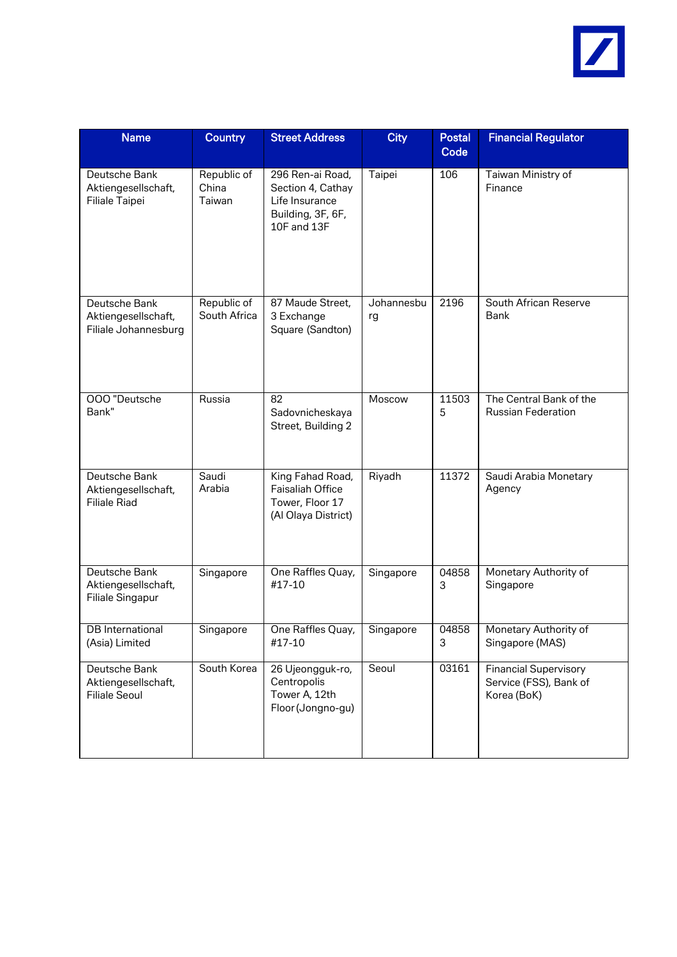

| <b>Name</b>                                                  | <b>Country</b>                 | <b>Street Address</b>                                                                       | <b>City</b>      | <b>Postal</b><br>Code | <b>Financial Regulator</b>                                            |
|--------------------------------------------------------------|--------------------------------|---------------------------------------------------------------------------------------------|------------------|-----------------------|-----------------------------------------------------------------------|
| Deutsche Bank<br>Aktiengesellschaft,<br>Filiale Taipei       | Republic of<br>China<br>Taiwan | 296 Ren-ai Road,<br>Section 4, Cathay<br>Life Insurance<br>Building, 3F, 6F,<br>10F and 13F | Taipei           | 106                   | Taiwan Ministry of<br>Finance                                         |
| Deutsche Bank<br>Aktiengesellschaft,<br>Filiale Johannesburg | Republic of<br>South Africa    | 87 Maude Street,<br>3 Exchange<br>Square (Sandton)                                          | Johannesbu<br>rg | 2196                  | South African Reserve<br><b>Bank</b>                                  |
| 000 "Deutsche<br>Bank"                                       | Russia                         | 82<br>Sadovnicheskaya<br>Street, Building 2                                                 | Moscow           | 11503<br>5            | The Central Bank of the<br><b>Russian Federation</b>                  |
| Deutsche Bank<br>Aktiengesellschaft,<br><b>Filiale Riad</b>  | Saudi<br>Arabia                | King Fahad Road,<br><b>Faisaliah Office</b><br>Tower, Floor 17<br>(Al Olaya District)       | Riyadh           | 11372                 | Saudi Arabia Monetary<br>Agency                                       |
| Deutsche Bank<br>Aktiengesellschaft,<br>Filiale Singapur     | Singapore                      | One Raffles Quay,<br>#17-10                                                                 | Singapore        | 04858<br>3            | Monetary Authority of<br>Singapore                                    |
| <b>DB</b> International<br>(Asia) Limited                    | Singapore                      | One Raffles Quay,<br>#17-10                                                                 | Singapore        | 04858<br>3            | Monetary Authority of<br>Singapore (MAS)                              |
| Deutsche Bank<br>Aktiengesellschaft,<br><b>Filiale Seoul</b> | South Korea                    | 26 Ujeongguk-ro,<br>Centropolis<br>Tower A, 12th<br>Floor (Jongno-gu)                       | Seoul            | 03161                 | <b>Financial Supervisory</b><br>Service (FSS), Bank of<br>Korea (BoK) |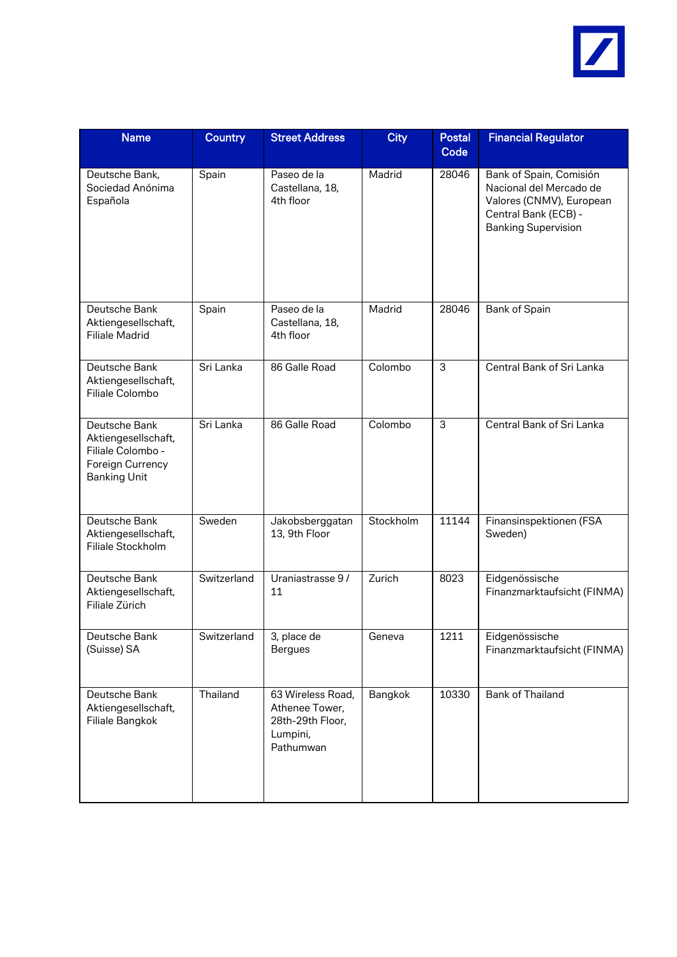

| <b>Name</b>                                                                                          | <b>Country</b> | <b>Street Address</b>                                                            | <b>City</b> | <b>Postal</b><br>Code | <b>Financial Regulator</b>                                                                                                           |
|------------------------------------------------------------------------------------------------------|----------------|----------------------------------------------------------------------------------|-------------|-----------------------|--------------------------------------------------------------------------------------------------------------------------------------|
| Deutsche Bank,<br>Sociedad Anónima<br>Española                                                       | Spain          | Paseo de la<br>Castellana, 18,<br>4th floor                                      | Madrid      | 28046                 | Bank of Spain, Comisión<br>Nacional del Mercado de<br>Valores (CNMV), European<br>Central Bank (ECB) -<br><b>Banking Supervision</b> |
| Deutsche Bank<br>Aktiengesellschaft,<br><b>Filiale Madrid</b>                                        | Spain          | Paseo de la<br>Castellana, 18,<br>4th floor                                      | Madrid      | 28046                 | Bank of Spain                                                                                                                        |
| Deutsche Bank<br>Aktiengesellschaft,<br>Filiale Colombo                                              | Sri Lanka      | 86 Galle Road                                                                    | Colombo     | 3                     | Central Bank of Sri Lanka                                                                                                            |
| Deutsche Bank<br>Aktiengesellschaft,<br>Filiale Colombo -<br>Foreign Currency<br><b>Banking Unit</b> | Sri Lanka      | 86 Galle Road                                                                    | Colombo     | 3                     | Central Bank of Sri Lanka                                                                                                            |
| Deutsche Bank<br>Aktiengesellschaft,<br>Filiale Stockholm                                            | Sweden         | Jakobsberggatan<br>13, 9th Floor                                                 | Stockholm   | 11144                 | Finansinspektionen (FSA<br>Sweden)                                                                                                   |
| Deutsche Bank<br>Aktiengesellschaft,<br>Filiale Zürich                                               | Switzerland    | Uraniastrasse 9/<br>11                                                           | Zurich      | 8023                  | Eidgenössische<br>Finanzmarktaufsicht (FINMA)                                                                                        |
| Deutsche Bank<br>(Suisse) SA                                                                         | Switzerland    | 3, place de<br><b>Bergues</b>                                                    | Geneva      | 1211                  | Eidgenössische<br>Finanzmarktaufsicht (FINMA)                                                                                        |
| Deutsche Bank<br>Aktiengesellschaft,<br>Filiale Bangkok                                              | Thailand       | 63 Wireless Road,<br>Athenee Tower,<br>28th-29th Floor,<br>Lumpini,<br>Pathumwan | Bangkok     | 10330                 | Bank of Thailand                                                                                                                     |